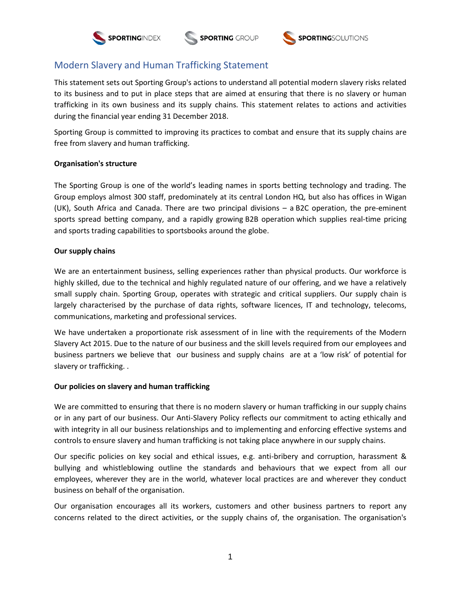



# Modern Slavery and Human Trafficking Statement

This statement sets out Sporting Group's actions to understand all potential modern slavery risks related to its business and to put in place steps that are aimed at ensuring that there is no slavery or human trafficking in its own business and its supply chains. This statement relates to actions and activities during the financial year ending 31 December 2018.

Sporting Group is committed to improving its practices to combat and ensure that its supply chains are free from slavery and human trafficking.

## **Organisation's structure**

The Sporting Group is one of the world's leading names in sports betting technology and trading. The Group employs almost 300 staff, predominately at its central London HQ, but also has offices in Wigan (UK), South Africa and Canada. There are two principal divisions – a [B2C operation,](http://www.sportingindex.com/) the pre-eminent sports spread betting company, and a rapidly growing [B2B operation](http://www.sportingsolutions.com/) which supplies real-time pricing and sports trading capabilities to sportsbooks around the globe.

### **Our supply chains**

We are an entertainment business, selling experiences rather than physical products. Our workforce is highly skilled, due to the technical and highly regulated nature of our offering, and we have a relatively small supply chain. Sporting Group, operates with strategic and critical suppliers. Our supply chain is largely characterised by the purchase of data rights, software licences, IT and technology, telecoms, communications, marketing and professional services.

We have undertaken a proportionate risk assessment of in line with the requirements of the Modern Slavery Act 2015. Due to the nature of our business and the skill levels required from our employees and business partners we believe that our business and supply chains are at a 'low risk' of potential for slavery or trafficking. .

### **Our policies on slavery and human trafficking**

We are committed to ensuring that there is no modern slavery or human trafficking in our supply chains or in any part of our business. Our Anti-Slavery Policy reflects our commitment to acting ethically and with integrity in all our business relationships and to implementing and enforcing effective systems and controls to ensure slavery and human trafficking is not taking place anywhere in our supply chains.

Our specific policies on key social and ethical issues, e.g. anti-bribery and corruption, harassment & bullying and whistleblowing outline the standards and behaviours that we expect from all our employees, wherever they are in the world, whatever local practices are and wherever they conduct business on behalf of the organisation.

Our organisation encourages all its workers, customers and other business partners to report any concerns related to the direct activities, or the supply chains of, the organisation. The organisation's